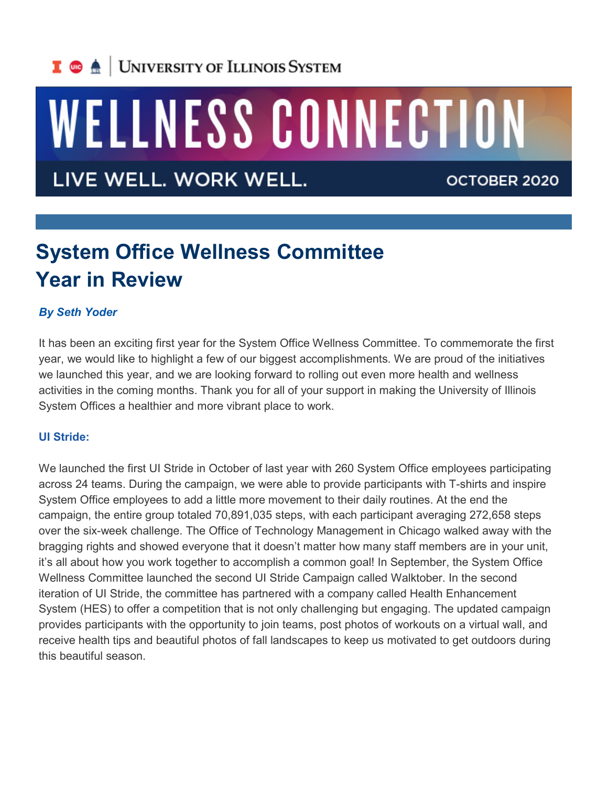## I **C**  $\triangle$  UNIVERSITY OF ILLINOIS SYSTEM

# WELLNESS CONNECTION

LIVE WELL. WORK WELL.

OCTOBER 2020

## **System Office Wellness Committee Year in Review**

#### *By Seth Yoder*

It has been an exciting first year for the System Office Wellness Committee. To commemorate the first year, we would like to highlight a few of our biggest accomplishments. We are proud of the initiatives we launched this year, and we are looking forward to rolling out even more health and wellness activities in the coming months. Thank you for all of your support in making the University of Illinois System Offices a healthier and more vibrant place to work.

#### **UI Stride:**

We launched the first UI Stride in October of last year with 260 System Office employees participating across 24 teams. During the campaign, we were able to provide participants with T-shirts and inspire System Office employees to add a little more movement to their daily routines. At the end the campaign, the entire group totaled 70,891,035 steps, with each participant averaging 272,658 steps over the six-week challenge. The Office of Technology Management in Chicago walked away with the bragging rights and showed everyone that it doesn't matter how many staff members are in your unit, it's all about how you work together to accomplish a common goal! In September, the System Office Wellness Committee launched the second UI Stride Campaign called Walktober. In the second iteration of UI Stride, the committee has partnered with a company called Health Enhancement System (HES) to offer a competition that is not only challenging but engaging. The updated campaign provides participants with the opportunity to join teams, post photos of workouts on a virtual wall, and receive health tips and beautiful photos of fall landscapes to keep us motivated to get outdoors during this beautiful season.